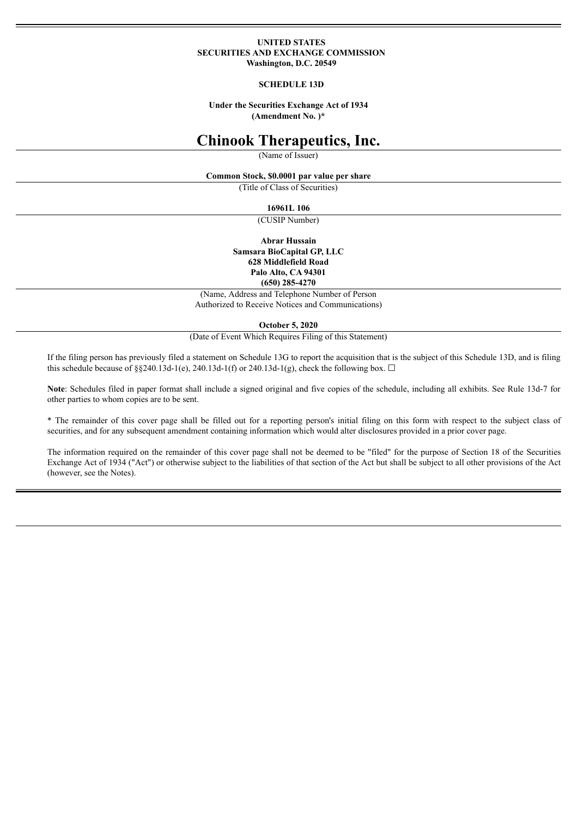#### **UNITED STATES SECURITIES AND EXCHANGE COMMISSION Washington, D.C. 20549**

#### **SCHEDULE 13D**

**Under the Securities Exchange Act of 1934 (Amendment No. )\***

# **Chinook Therapeutics, Inc.**

(Name of Issuer)

**Common Stock, \$0.0001 par value per share**

(Title of Class of Securities)

**16961L 106**

(CUSIP Number)

**Abrar Hussain Samsara BioCapital GP, LLC 628 Middlefield Road Palo Alto, CA 94301 (650) 285-4270**

(Name, Address and Telephone Number of Person Authorized to Receive Notices and Communications)

**October 5, 2020**

(Date of Event Which Requires Filing of this Statement)

If the filing person has previously filed a statement on Schedule 13G to report the acquisition that is the subject of this Schedule 13D, and is filing this schedule because of §§240.13d-1(e), 240.13d-1(f) or 240.13d-1(g), check the following box.  $\Box$ 

**Note**: Schedules filed in paper format shall include a signed original and five copies of the schedule, including all exhibits. See Rule 13d-7 for other parties to whom copies are to be sent.

\* The remainder of this cover page shall be filled out for a reporting person's initial filing on this form with respect to the subject class of securities, and for any subsequent amendment containing information which would alter disclosures provided in a prior cover page.

The information required on the remainder of this cover page shall not be deemed to be "filed" for the purpose of Section 18 of the Securities Exchange Act of 1934 ("Act") or otherwise subject to the liabilities of that section of the Act but shall be subject to all other provisions of the Act (however, see the Notes).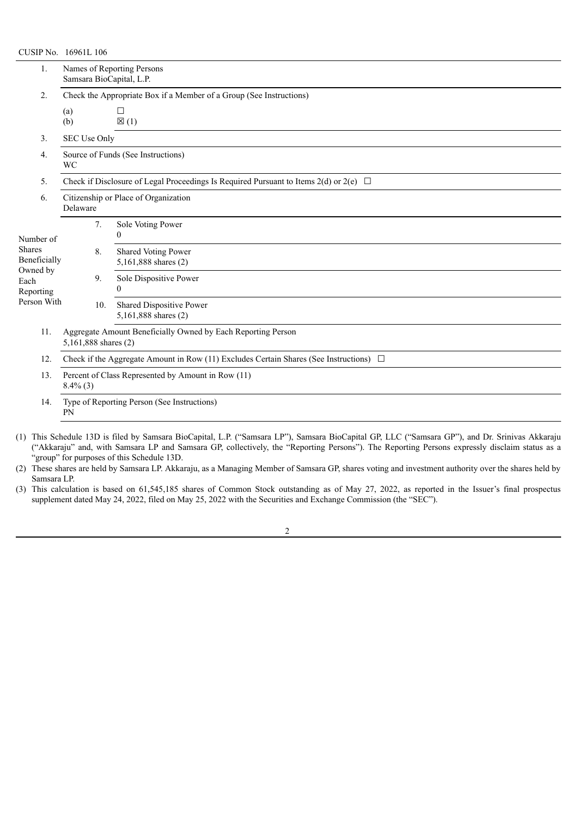|                                                                                            | CUSIP No. 16961L 106                                                                           |     |                                                  |  |  |  |  |  |  |  |
|--------------------------------------------------------------------------------------------|------------------------------------------------------------------------------------------------|-----|--------------------------------------------------|--|--|--|--|--|--|--|
| 1.                                                                                         | Names of Reporting Persons<br>Samsara BioCapital, L.P.                                         |     |                                                  |  |  |  |  |  |  |  |
| 2.                                                                                         | Check the Appropriate Box if a Member of a Group (See Instructions)                            |     |                                                  |  |  |  |  |  |  |  |
|                                                                                            | (a)<br>(b)                                                                                     |     | □<br>$\boxtimes$ (1)                             |  |  |  |  |  |  |  |
| 3.                                                                                         | SEC Use Only                                                                                   |     |                                                  |  |  |  |  |  |  |  |
| 4.                                                                                         | Source of Funds (See Instructions)<br><b>WC</b>                                                |     |                                                  |  |  |  |  |  |  |  |
| 5.                                                                                         | Check if Disclosure of Legal Proceedings Is Required Pursuant to Items 2(d) or 2(e) $\Box$     |     |                                                  |  |  |  |  |  |  |  |
| 6.                                                                                         | Citizenship or Place of Organization<br>Delaware                                               |     |                                                  |  |  |  |  |  |  |  |
| Number of<br><b>Shares</b><br>Beneficially<br>Owned by<br>Each<br>Reporting<br>Person With |                                                                                                | 7.  | Sole Voting Power<br>$\Omega$                    |  |  |  |  |  |  |  |
|                                                                                            |                                                                                                | 8.  | Shared Voting Power<br>5,161,888 shares (2)      |  |  |  |  |  |  |  |
|                                                                                            |                                                                                                | 9.  | Sole Dispositive Power<br>$\boldsymbol{0}$       |  |  |  |  |  |  |  |
|                                                                                            |                                                                                                | 10. | Shared Dispositive Power<br>5,161,888 shares (2) |  |  |  |  |  |  |  |
| 11.                                                                                        | Aggregate Amount Beneficially Owned by Each Reporting Person<br>5,161,888 shares (2)           |     |                                                  |  |  |  |  |  |  |  |
| 12.                                                                                        | Check if the Aggregate Amount in Row (11) Excludes Certain Shares (See Instructions) $\square$ |     |                                                  |  |  |  |  |  |  |  |
| 13.                                                                                        | Percent of Class Represented by Amount in Row (11)<br>$8.4\%$ (3)                              |     |                                                  |  |  |  |  |  |  |  |
| 14.                                                                                        | Type of Reporting Person (See Instructions)<br>PN                                              |     |                                                  |  |  |  |  |  |  |  |

(1) This Schedule 13D is filed by Samsara BioCapital, L.P. ("Samsara LP"), Samsara BioCapital GP, LLC ("Samsara GP"), and Dr. Srinivas Akkaraju ("Akkaraju" and, with Samsara LP and Samsara GP, collectively, the "Reporting Persons"). The Reporting Persons expressly disclaim status as a "group" for purposes of this Schedule 13D.

(2) These shares are held by Samsara LP. Akkaraju, as a Managing Member of Samsara GP, shares voting and investment authority over the shares held by Samsara LP.

(3) This calculation is based on 61,545,185 shares of Common Stock outstanding as of May 27, 2022, as reported in the Issuer's final prospectus supplement dated May 24, 2022, filed on May 25, 2022 with the Securities and Exchange Commission (the "SEC").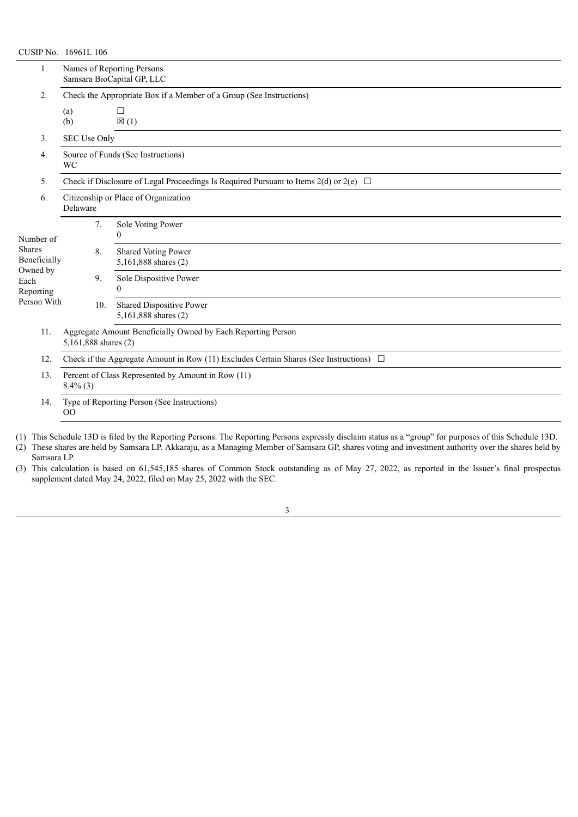| CUSIP No. 16961L 106                                                   |                                                                                             |     |                                                  |  |  |  |  |  |  |  |
|------------------------------------------------------------------------|---------------------------------------------------------------------------------------------|-----|--------------------------------------------------|--|--|--|--|--|--|--|
| 1.                                                                     | Names of Reporting Persons<br>Samsara BioCapital GP, LLC                                    |     |                                                  |  |  |  |  |  |  |  |
| 2.                                                                     | Check the Appropriate Box if a Member of a Group (See Instructions)                         |     |                                                  |  |  |  |  |  |  |  |
|                                                                        | (a)<br>(b)                                                                                  |     | □<br>$\boxtimes$ (1)                             |  |  |  |  |  |  |  |
| 3.                                                                     | SEC Use Only                                                                                |     |                                                  |  |  |  |  |  |  |  |
| 4.                                                                     | Source of Funds (See Instructions)<br>WC                                                    |     |                                                  |  |  |  |  |  |  |  |
| 5.                                                                     | Check if Disclosure of Legal Proceedings Is Required Pursuant to Items 2(d) or 2(e) $\Box$  |     |                                                  |  |  |  |  |  |  |  |
| 6.                                                                     | Citizenship or Place of Organization<br>Delaware                                            |     |                                                  |  |  |  |  |  |  |  |
| Number of                                                              |                                                                                             | 7.  | Sole Voting Power<br>$\boldsymbol{0}$            |  |  |  |  |  |  |  |
| Shares<br>Beneficially<br>Owned by<br>Each<br>Reporting<br>Person With |                                                                                             | 8.  | Shared Voting Power<br>5,161,888 shares (2)      |  |  |  |  |  |  |  |
|                                                                        |                                                                                             | 9.  | Sole Dispositive Power<br>$\theta$               |  |  |  |  |  |  |  |
|                                                                        |                                                                                             | 10. | Shared Dispositive Power<br>5,161,888 shares (2) |  |  |  |  |  |  |  |
| 11.                                                                    | Aggregate Amount Beneficially Owned by Each Reporting Person<br>5,161,888 shares (2)        |     |                                                  |  |  |  |  |  |  |  |
| 12.                                                                    | Check if the Aggregate Amount in Row (11) Excludes Certain Shares (See Instructions) $\Box$ |     |                                                  |  |  |  |  |  |  |  |
| 13.                                                                    | Percent of Class Represented by Amount in Row (11)<br>$8.4\%$ (3)                           |     |                                                  |  |  |  |  |  |  |  |
| 14.                                                                    | Type of Reporting Person (See Instructions)<br>$00\,$                                       |     |                                                  |  |  |  |  |  |  |  |

- (1) This Schedule 13D is filed by the Reporting Persons. The Reporting Persons expressly disclaim status as a "group" for purposes of this Schedule 13D.
- (2) These shares are held by Samsara LP. Akkaraju, as a Managing Member of Samsara GP, shares voting and investment authority over the shares held by Samsara LP.
- (3) This calculation is based on 61,545,185 shares of Common Stock outstanding as of May 27, 2022, as reported in the Issuer's final prospectus supplement dated May 24, 2022, filed on May 25, 2022 with the SEC.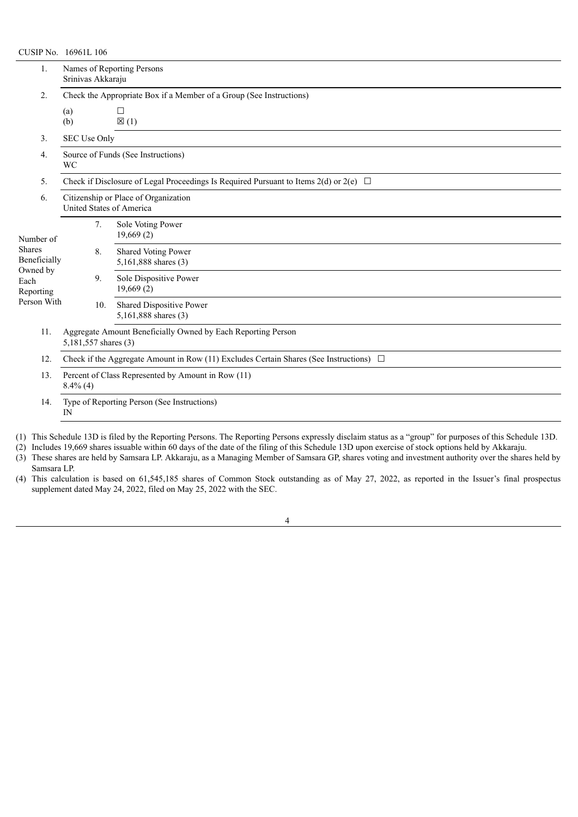## CUSIP No. 16961L 106

| 1.                            | Names of Reporting Persons<br>Srinivas Akkaraju                                             |                                                    |  |  |  |  |  |  |  |  |
|-------------------------------|---------------------------------------------------------------------------------------------|----------------------------------------------------|--|--|--|--|--|--|--|--|
| 2.                            | Check the Appropriate Box if a Member of a Group (See Instructions)                         |                                                    |  |  |  |  |  |  |  |  |
|                               | (a)<br>(b)                                                                                  | П<br>$\boxtimes$ (1)                               |  |  |  |  |  |  |  |  |
| 3.                            | SEC Use Only                                                                                |                                                    |  |  |  |  |  |  |  |  |
| 4.                            | Source of Funds (See Instructions)<br>WC                                                    |                                                    |  |  |  |  |  |  |  |  |
| 5.                            | Check if Disclosure of Legal Proceedings Is Required Pursuant to Items 2(d) or 2(e) $\Box$  |                                                    |  |  |  |  |  |  |  |  |
| 6.                            | Citizenship or Place of Organization<br>United States of America                            |                                                    |  |  |  |  |  |  |  |  |
| Number of                     | 7.                                                                                          | Sole Voting Power<br>19,669(2)                     |  |  |  |  |  |  |  |  |
| <b>Shares</b><br>Beneficially | 8.                                                                                          | <b>Shared Voting Power</b><br>5,161,888 shares (3) |  |  |  |  |  |  |  |  |
| Owned by<br>Each<br>Reporting | 9.                                                                                          | Sole Dispositive Power<br>19,669(2)                |  |  |  |  |  |  |  |  |
| Person With                   | 10.                                                                                         | Shared Dispositive Power<br>5,161,888 shares (3)   |  |  |  |  |  |  |  |  |
| 11.                           | Aggregate Amount Beneficially Owned by Each Reporting Person<br>5,181,557 shares (3)        |                                                    |  |  |  |  |  |  |  |  |
| 12.                           | Check if the Aggregate Amount in Row (11) Excludes Certain Shares (See Instructions) $\Box$ |                                                    |  |  |  |  |  |  |  |  |
| 13.                           | Percent of Class Represented by Amount in Row (11)<br>$8.4\%$ (4)                           |                                                    |  |  |  |  |  |  |  |  |
| 14.                           | Type of Reporting Person (See Instructions)<br>IN                                           |                                                    |  |  |  |  |  |  |  |  |

(1) This Schedule 13D is filed by the Reporting Persons. The Reporting Persons expressly disclaim status as a "group" for purposes of this Schedule 13D.

(2) Includes 19,669 shares issuable within 60 days of the date of the filing of this Schedule 13D upon exercise of stock options held by Akkaraju.

(3) These shares are held by Samsara LP. Akkaraju, as a Managing Member of Samsara GP, shares voting and investment authority over the shares held by Samsara LP.

(4) This calculation is based on 61,545,185 shares of Common Stock outstanding as of May 27, 2022, as reported in the Issuer's final prospectus supplement dated May 24, 2022, filed on May 25, 2022 with the SEC.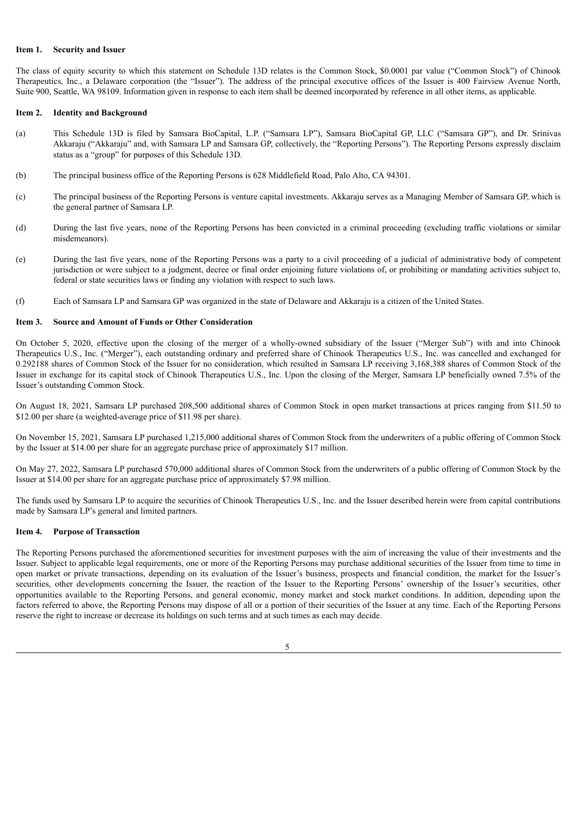## **Item 1. Security and Issuer**

The class of equity security to which this statement on Schedule 13D relates is the Common Stock, \$0.0001 par value ("Common Stock") of Chinook Therapeutics, Inc., a Delaware corporation (the "Issuer"). The address of the principal executive offices of the Issuer is 400 Fairview Avenue North, Suite 900, Seattle, WA 98109. Information given in response to each item shall be deemed incorporated by reference in all other items, as applicable.

#### **Item 2. Identity and Background**

- (a) This Schedule 13D is filed by Samsara BioCapital, L.P. ("Samsara LP"), Samsara BioCapital GP, LLC ("Samsara GP"), and Dr. Srinivas Akkaraju ("Akkaraju" and, with Samsara LP and Samsara GP, collectively, the "Reporting Persons"). The Reporting Persons expressly disclaim status as a "group" for purposes of this Schedule 13D.
- (b) The principal business office of the Reporting Persons is 628 Middlefield Road, Palo Alto, CA 94301.
- (c) The principal business of the Reporting Persons is venture capital investments. Akkaraju serves as a Managing Member of Samsara GP, which is the general partner of Samsara LP.
- (d) During the last five years, none of the Reporting Persons has been convicted in a criminal proceeding (excluding traffic violations or similar misdemeanors).
- (e) During the last five years, none of the Reporting Persons was a party to a civil proceeding of a judicial of administrative body of competent jurisdiction or were subject to a judgment, decree or final order enjoining future violations of, or prohibiting or mandating activities subject to, federal or state securities laws or finding any violation with respect to such laws.
- (f) Each of Samsara LP and Samsara GP was organized in the state of Delaware and Akkaraju is a citizen of the United States.

## **Item 3. Source and Amount of Funds or Other Consideration**

On October 5, 2020, effective upon the closing of the merger of a wholly-owned subsidiary of the Issuer ("Merger Sub") with and into Chinook Therapeutics U.S., Inc. ("Merger"), each outstanding ordinary and preferred share of Chinook Therapeutics U.S., Inc. was cancelled and exchanged for 0.292188 shares of Common Stock of the Issuer for no consideration, which resulted in Samsara LP receiving 3,168,388 shares of Common Stock of the Issuer in exchange for its capital stock of Chinook Therapeutics U.S., Inc. Upon the closing of the Merger, Samsara LP beneficially owned 7.5% of the Issuer's outstanding Common Stock.

On August 18, 2021, Samsara LP purchased 208,500 additional shares of Common Stock in open market transactions at prices ranging from \$11.50 to \$12.00 per share (a weighted-average price of \$11.98 per share).

On November 15, 2021, Samsara LP purchased 1,215,000 additional shares of Common Stock from the underwriters of a public offering of Common Stock by the Issuer at \$14.00 per share for an aggregate purchase price of approximately \$17 million.

On May 27, 2022, Samsara LP purchased 570,000 additional shares of Common Stock from the underwriters of a public offering of Common Stock by the Issuer at \$14.00 per share for an aggregate purchase price of approximately \$7.98 million.

The funds used by Samsara LP to acquire the securities of Chinook Therapeutics U.S., Inc. and the Issuer described herein were from capital contributions made by Samsara LP's general and limited partners.

## **Item 4. Purpose of Transaction**

The Reporting Persons purchased the aforementioned securities for investment purposes with the aim of increasing the value of their investments and the Issuer. Subject to applicable legal requirements, one or more of the Reporting Persons may purchase additional securities of the Issuer from time to time in open market or private transactions, depending on its evaluation of the Issuer's business, prospects and financial condition, the market for the Issuer's securities, other developments concerning the Issuer, the reaction of the Issuer to the Reporting Persons' ownership of the Issuer's securities, other opportunities available to the Reporting Persons, and general economic, money market and stock market conditions. In addition, depending upon the factors referred to above, the Reporting Persons may dispose of all or a portion of their securities of the Issuer at any time. Each of the Reporting Persons reserve the right to increase or decrease its holdings on such terms and at such times as each may decide.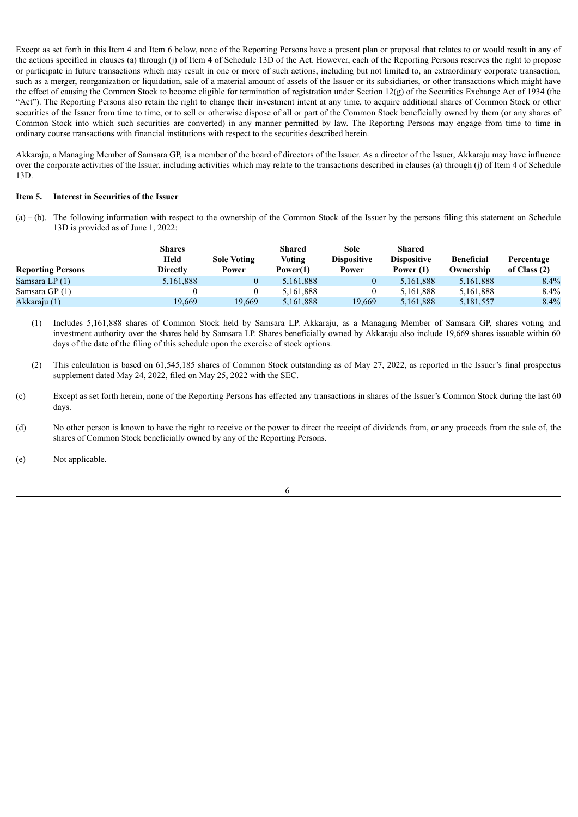Except as set forth in this Item 4 and Item 6 below, none of the Reporting Persons have a present plan or proposal that relates to or would result in any of the actions specified in clauses (a) through (j) of Item 4 of Schedule 13D of the Act. However, each of the Reporting Persons reserves the right to propose or participate in future transactions which may result in one or more of such actions, including but not limited to, an extraordinary corporate transaction, such as a merger, reorganization or liquidation, sale of a material amount of assets of the Issuer or its subsidiaries, or other transactions which might have the effect of causing the Common Stock to become eligible for termination of registration under Section  $12(g)$  of the Securities Exchange Act of 1934 (the "Act"). The Reporting Persons also retain the right to change their investment intent at any time, to acquire additional shares of Common Stock or other securities of the Issuer from time to time, or to sell or otherwise dispose of all or part of the Common Stock beneficially owned by them (or any shares of Common Stock into which such securities are converted) in any manner permitted by law. The Reporting Persons may engage from time to time in ordinary course transactions with financial institutions with respect to the securities described herein.

Akkaraju, a Managing Member of Samsara GP, is a member of the board of directors of the Issuer. As a director of the Issuer, Akkaraju may have influence over the corporate activities of the Issuer, including activities which may relate to the transactions described in clauses (a) through (j) of Item 4 of Schedule 13D.

## **Item 5. Interest in Securities of the Issuer**

 $(a)$  – (b). The following information with respect to the ownership of the Common Stock of the Issuer by the persons filing this statement on Schedule 13D is provided as of June 1, 2022:

|                          | <b>Shares</b>   |                    | <b>Shared</b> | Sole               | Shared             |                   |                |
|--------------------------|-----------------|--------------------|---------------|--------------------|--------------------|-------------------|----------------|
|                          | Held            | <b>Sole Voting</b> | Voting        | <b>Dispositive</b> | <b>Dispositive</b> | <b>Beneficial</b> | Percentage     |
| <b>Reporting Persons</b> | <b>Directly</b> | Power              | Power(1)      | Power              | Power (1)          | Ownership         | of Class $(2)$ |
| Samsara LP (1)           | 5,161,888       |                    | 5,161,888     |                    | 5.161.888          | 5,161,888         | 8.4%           |
| Samsara GP $(1)$         |                 |                    | 5.161.888     |                    | 5.161.888          | 5,161,888         | $8.4\%$        |
| Akkaraju (1)             | 19,669          | 19,669             | 5,161,888     | 19,669             | 5,161,888          | 5,181,557         | 8.4%           |

(1) Includes 5,161,888 shares of Common Stock held by Samsara LP. Akkaraju, as a Managing Member of Samsara GP, shares voting and investment authority over the shares held by Samsara LP. Shares beneficially owned by Akkaraju also include 19,669 shares issuable within 60 days of the date of the filing of this schedule upon the exercise of stock options.

- (2) This calculation is based on 61,545,185 shares of Common Stock outstanding as of May 27, 2022, as reported in the Issuer's final prospectus supplement dated May 24, 2022, filed on May 25, 2022 with the SEC.
- (c) Except as set forth herein, none of the Reporting Persons has effected any transactions in shares of the Issuer's Common Stock during the last 60 days.
- (d) No other person is known to have the right to receive or the power to direct the receipt of dividends from, or any proceeds from the sale of, the shares of Common Stock beneficially owned by any of the Reporting Persons.

(e) Not applicable.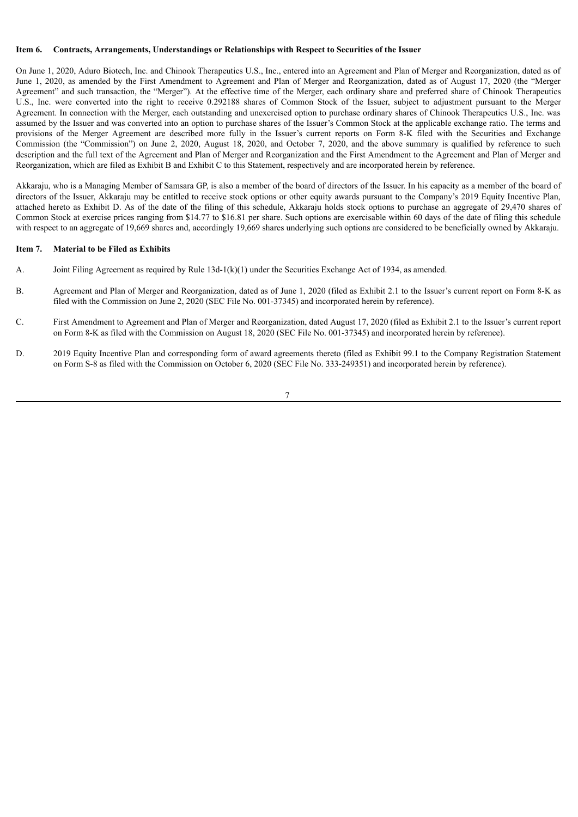#### **Item 6. Contracts, Arrangements, Understandings or Relationships with Respect to Securities of the Issuer**

On June 1, 2020, Aduro Biotech, Inc. and Chinook Therapeutics U.S., Inc., entered into an Agreement and Plan of Merger and Reorganization, dated as of June 1, 2020, as amended by the First Amendment to Agreement and Plan of Merger and Reorganization, dated as of August 17, 2020 (the "Merger Agreement" and such transaction, the "Merger"). At the effective time of the Merger, each ordinary share and preferred share of Chinook Therapeutics U.S., Inc. were converted into the right to receive 0.292188 shares of Common Stock of the Issuer, subject to adjustment pursuant to the Merger Agreement. In connection with the Merger, each outstanding and unexercised option to purchase ordinary shares of Chinook Therapeutics U.S., Inc. was assumed by the Issuer and was converted into an option to purchase shares of the Issuer's Common Stock at the applicable exchange ratio. The terms and provisions of the Merger Agreement are described more fully in the Issuer's current reports on Form 8-K filed with the Securities and Exchange Commission (the "Commission") on June 2, 2020, August 18, 2020, and October 7, 2020, and the above summary is qualified by reference to such description and the full text of the Agreement and Plan of Merger and Reorganization and the First Amendment to the Agreement and Plan of Merger and Reorganization, which are filed as Exhibit B and Exhibit C to this Statement, respectively and are incorporated herein by reference.

Akkaraju, who is a Managing Member of Samsara GP, is also a member of the board of directors of the Issuer. In his capacity as a member of the board of directors of the Issuer, Akkaraju may be entitled to receive stock options or other equity awards pursuant to the Company's 2019 Equity Incentive Plan, attached hereto as Exhibit D. As of the date of the filing of this schedule, Akkaraju holds stock options to purchase an aggregate of 29,470 shares of Common Stock at exercise prices ranging from \$14.77 to \$16.81 per share. Such options are exercisable within 60 days of the date of filing this schedule with respect to an aggregate of 19,669 shares and, accordingly 19,669 shares underlying such options are considered to be beneficially owned by Akkaraju.

## **Item 7. Material to be Filed as Exhibits**

- A. Joint Filing Agreement as required by Rule 13d-1(k)(1) under the Securities Exchange Act of 1934, as amended.
- B. Agreement and Plan of Merger and Reorganization, dated as of June 1, 2020 (filed as Exhibit 2.1 to the Issuer's current report on Form 8-K as filed with the Commission on June 2, 2020 (SEC File No. 001-37345) and incorporated herein by reference).
- C. First Amendment to Agreement and Plan of Merger and Reorganization, dated August 17, 2020 (filed as Exhibit 2.1 to the Issuer's current report on Form 8-K as filed with the Commission on August 18, 2020 (SEC File No. 001-37345) and incorporated herein by reference).
- D. 2019 Equity Incentive Plan and corresponding form of award agreements thereto (filed as Exhibit 99.1 to the Company Registration Statement on Form S-8 as filed with the Commission on October 6, 2020 (SEC File No. 333-249351) and incorporated herein by reference).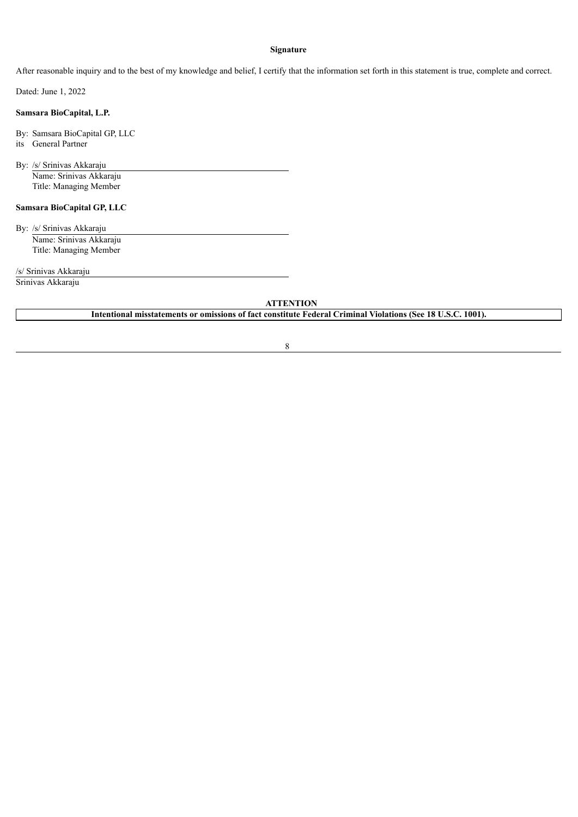## **Signature**

After reasonable inquiry and to the best of my knowledge and belief, I certify that the information set forth in this statement is true, complete and correct.

Dated: June 1, 2022

## **Samsara BioCapital, L.P.**

By: Samsara BioCapital GP, LLC

its General Partner

By: /s/ Srinivas Akkaraju Name: Srinivas Akkaraju Title: Managing Member

# **Samsara BioCapital GP, LLC**

By: /s/ Srinivas Akkaraju Name: Srinivas Akkaraju Title: Managing Member

/s/ Srinivas Akkaraju

Srinivas Akkaraju

## **ATTENTION**

**Intentional misstatements or omissions of fact constitute Federal Criminal Violations (See 18 U.S.C. 1001).**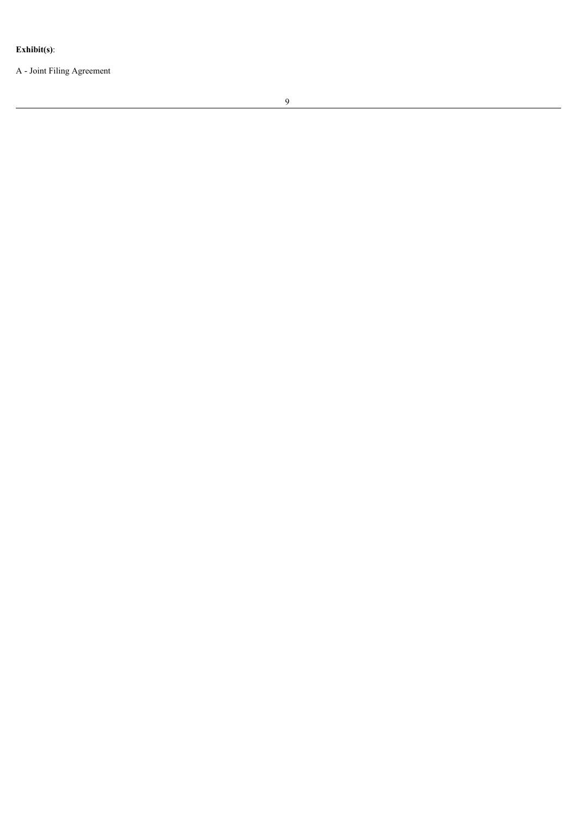Exhibit(s):

A - Joint Filing Agreement